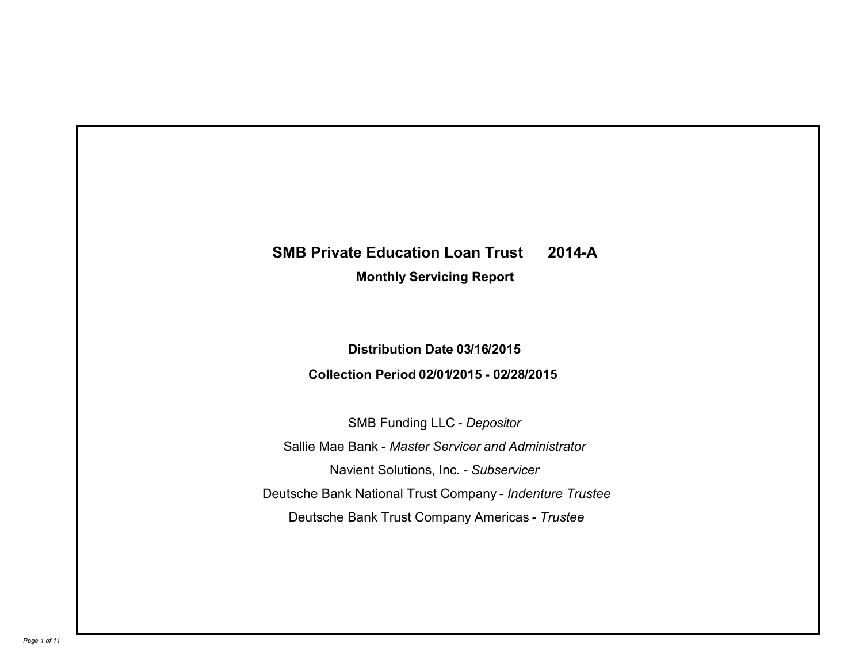# **SMB Private Education Loan Trust 2014-A Monthly Servicing Report**

## **Distribution Date 03/16/2015 Collection Period 02/01/2015 - 02/28/2015**

SMB Funding LLC - *Depositor* Sallie Mae Bank - *Master Servicer and Administrator* Deutsche Bank National Trust Company - *Indenture Trustee* Deutsche Bank Trust Company Americas - *Trustee* Navient Solutions, Inc. - *Subservicer*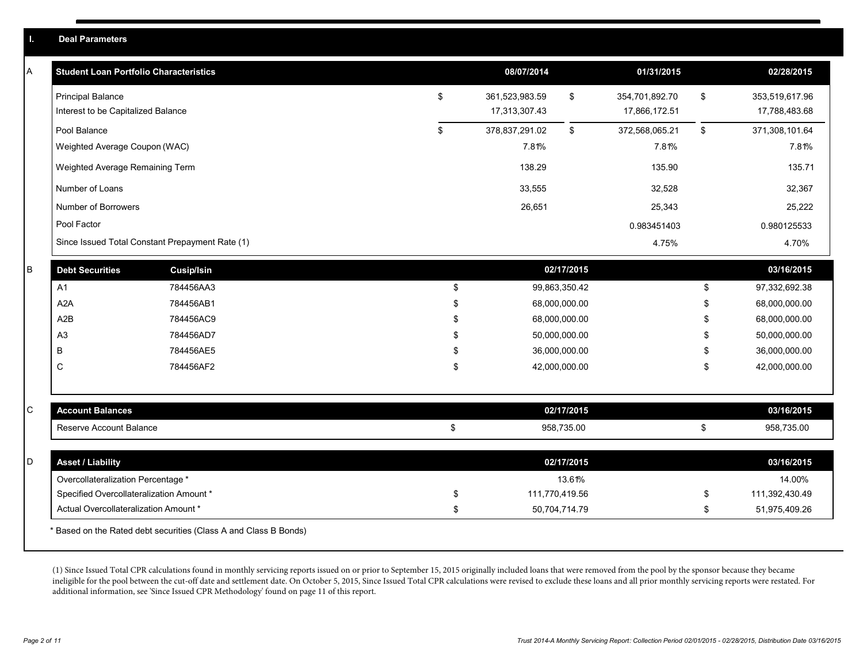|   | <b>Deal Parameters</b>                        |                                                                  |     |                |               |                |               |                |
|---|-----------------------------------------------|------------------------------------------------------------------|-----|----------------|---------------|----------------|---------------|----------------|
| A | <b>Student Loan Portfolio Characteristics</b> |                                                                  |     | 08/07/2014     |               | 01/31/2015     |               | 02/28/2015     |
|   | <b>Principal Balance</b>                      |                                                                  | \$  | 361,523,983.59 | $\,$          | 354,701,892.70 | \$            | 353,519,617.96 |
|   | Interest to be Capitalized Balance            |                                                                  |     | 17,313,307.43  |               | 17,866,172.51  |               | 17,788,483.68  |
|   | Pool Balance                                  |                                                                  | \$  | 378,837,291.02 | \$            | 372,568,065.21 | $\mathfrak s$ | 371,308,101.64 |
|   | Weighted Average Coupon (WAC)                 |                                                                  |     | 7.81%          |               | 7.81%          |               | 7.81%          |
|   | Weighted Average Remaining Term               |                                                                  |     | 138.29         |               | 135.90         |               | 135.71         |
|   | Number of Loans                               |                                                                  |     | 33,555         |               | 32,528         |               | 32,367         |
|   | Number of Borrowers                           |                                                                  |     | 26,651         |               | 25,343         |               | 25,222         |
|   | Pool Factor                                   |                                                                  |     |                |               | 0.983451403    |               | 0.980125533    |
|   |                                               | Since Issued Total Constant Prepayment Rate (1)                  |     |                |               | 4.75%          |               | 4.70%          |
| B | <b>Debt Securities</b>                        | <b>Cusip/Isin</b>                                                |     |                | 02/17/2015    |                |               | 03/16/2015     |
|   | A <sub>1</sub>                                | 784456AA3                                                        | \$  |                | 99,863,350.42 |                | \$            | 97,332,692.38  |
|   | A2A                                           | 784456AB1                                                        | \$. |                | 68,000,000.00 |                | \$            | 68,000,000.00  |
|   | A2B                                           | 784456AC9                                                        | \$  |                | 68,000,000.00 |                | \$            | 68,000,000.00  |
|   | A <sub>3</sub>                                | 784456AD7                                                        | \$. |                | 50,000,000.00 |                | \$            | 50,000,000.00  |
|   | B                                             | 784456AE5                                                        |     |                | 36,000,000.00 |                | \$            | 36,000,000.00  |
|   | $\mathsf{C}$                                  | 784456AF2                                                        | \$  |                | 42,000,000.00 |                | \$            | 42,000,000.00  |
| C | <b>Account Balances</b>                       |                                                                  |     |                | 02/17/2015    |                |               | 03/16/2015     |
|   | Reserve Account Balance                       |                                                                  | \$  |                | 958,735.00    |                | \$            | 958,735.00     |
|   |                                               |                                                                  |     |                |               |                |               |                |
| D | <b>Asset / Liability</b>                      |                                                                  |     |                | 02/17/2015    |                |               | 03/16/2015     |
|   | Overcollateralization Percentage *            |                                                                  |     |                | 13.61%        |                |               | 14.00%         |
|   | Specified Overcollateralization Amount *      |                                                                  | \$  | 111,770,419.56 |               |                | \$            | 111,392,430.49 |
|   | Actual Overcollateralization Amount *         |                                                                  | \$  |                | 50,704,714.79 |                | \$            | 51,975,409.26  |
|   |                                               | * Based on the Rated debt securities (Class A and Class B Bonds) |     |                |               |                |               |                |

(1) Since Issued Total CPR calculations found in monthly servicing reports issued on or prior to September 15, 2015 originally included loans that were removed from the pool by the sponsor because they became ineligible for the pool between the cut-off date and settlement date. On October 5, 2015, Since Issued Total CPR calculations were revised to exclude these loans and all prior monthly servicing reports were restated. For additional information, see 'Since Issued CPR Methodology' found on page 11 of this report.

**Deal Parameters**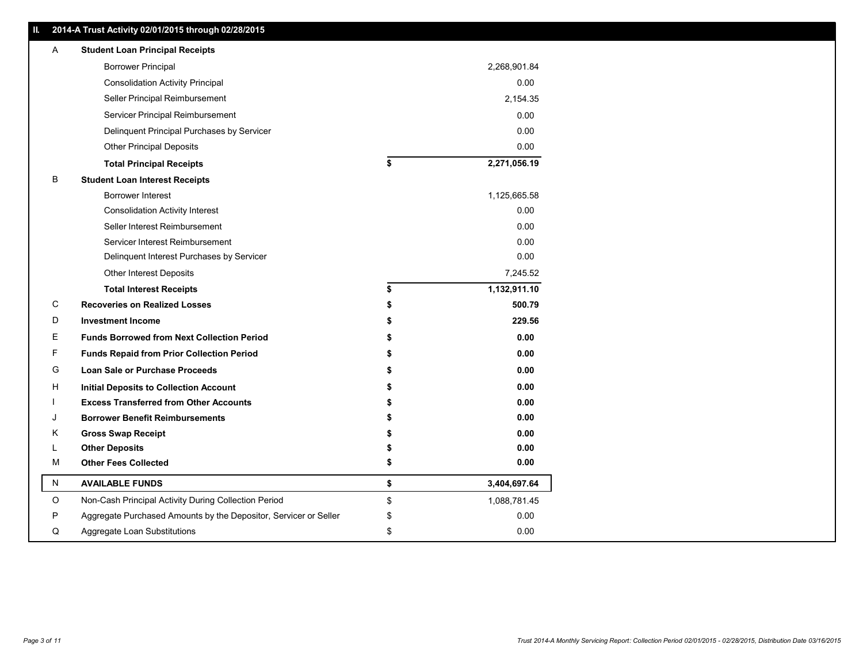| Ш. | 2014-A Trust Activity 02/01/2015 through 02/28/2015              |    |              |  |  |  |  |
|----|------------------------------------------------------------------|----|--------------|--|--|--|--|
| Α  | <b>Student Loan Principal Receipts</b>                           |    |              |  |  |  |  |
|    | <b>Borrower Principal</b>                                        |    | 2,268,901.84 |  |  |  |  |
|    | <b>Consolidation Activity Principal</b>                          |    | 0.00         |  |  |  |  |
|    | Seller Principal Reimbursement                                   |    | 2,154.35     |  |  |  |  |
|    | Servicer Principal Reimbursement                                 |    | 0.00         |  |  |  |  |
|    | Delinquent Principal Purchases by Servicer                       |    | 0.00         |  |  |  |  |
|    | Other Principal Deposits                                         |    | 0.00         |  |  |  |  |
|    | <b>Total Principal Receipts</b>                                  | \$ | 2,271,056.19 |  |  |  |  |
| В  | <b>Student Loan Interest Receipts</b>                            |    |              |  |  |  |  |
|    | Borrower Interest                                                |    | 1,125,665.58 |  |  |  |  |
|    | <b>Consolidation Activity Interest</b>                           |    | 0.00         |  |  |  |  |
|    | Seller Interest Reimbursement                                    |    | 0.00         |  |  |  |  |
|    | Servicer Interest Reimbursement                                  |    | 0.00         |  |  |  |  |
|    | Delinquent Interest Purchases by Servicer                        |    | 0.00         |  |  |  |  |
|    | Other Interest Deposits                                          |    | 7,245.52     |  |  |  |  |
|    | <b>Total Interest Receipts</b>                                   | \$ | 1,132,911.10 |  |  |  |  |
| C  | <b>Recoveries on Realized Losses</b>                             |    | 500.79       |  |  |  |  |
| D  | <b>Investment Income</b>                                         |    | 229.56       |  |  |  |  |
| Е  | <b>Funds Borrowed from Next Collection Period</b>                |    | $0.00\,$     |  |  |  |  |
| F. | <b>Funds Repaid from Prior Collection Period</b>                 |    | 0.00         |  |  |  |  |
| G  | <b>Loan Sale or Purchase Proceeds</b>                            |    | 0.00         |  |  |  |  |
| Н  | <b>Initial Deposits to Collection Account</b>                    |    | 0.00         |  |  |  |  |
|    | <b>Excess Transferred from Other Accounts</b>                    |    | 0.00         |  |  |  |  |
|    | <b>Borrower Benefit Reimbursements</b>                           |    | 0.00         |  |  |  |  |
| Κ  | <b>Gross Swap Receipt</b>                                        |    | 0.00         |  |  |  |  |
|    | <b>Other Deposits</b>                                            |    | 0.00         |  |  |  |  |
| M  | <b>Other Fees Collected</b>                                      | \$ | $0.00\,$     |  |  |  |  |
| N  | <b>AVAILABLE FUNDS</b>                                           | \$ | 3,404,697.64 |  |  |  |  |
| O  | Non-Cash Principal Activity During Collection Period             | \$ | 1,088,781.45 |  |  |  |  |
| P  | Aggregate Purchased Amounts by the Depositor, Servicer or Seller | \$ | 0.00         |  |  |  |  |
| Q  | Aggregate Loan Substitutions                                     | \$ | 0.00         |  |  |  |  |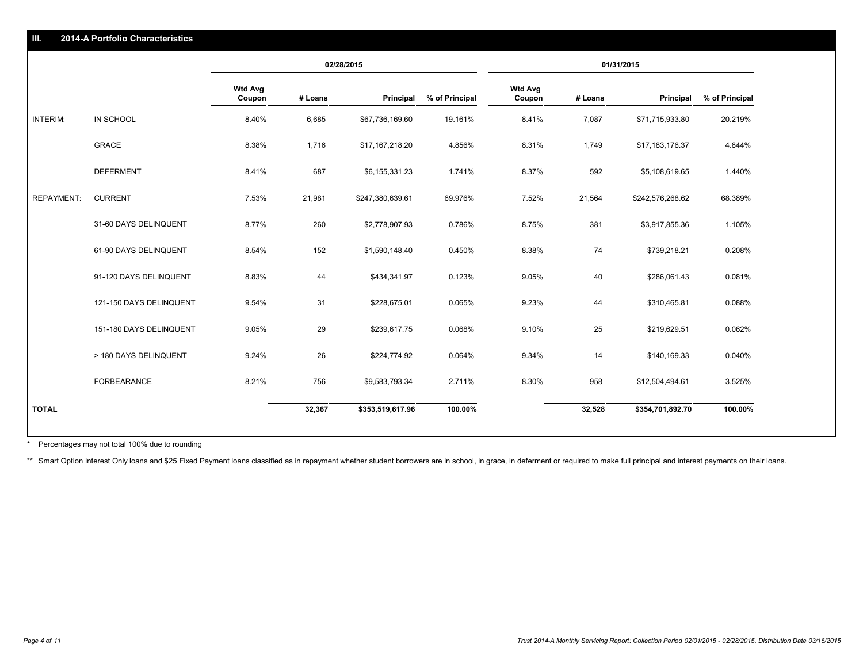| HI.<br>2014-A Portfolio Characteristics |                         |                          |            |                  |                |                          |         |                  |                |  |  |
|-----------------------------------------|-------------------------|--------------------------|------------|------------------|----------------|--------------------------|---------|------------------|----------------|--|--|
|                                         |                         |                          | 02/28/2015 |                  |                | 01/31/2015               |         |                  |                |  |  |
|                                         |                         | <b>Wtd Avg</b><br>Coupon | # Loans    | Principal        | % of Principal | <b>Wtd Avg</b><br>Coupon | # Loans | Principal        | % of Principal |  |  |
| INTERIM:                                | IN SCHOOL               | 8.40%                    | 6,685      | \$67,736,169.60  | 19.161%        | 8.41%                    | 7,087   | \$71,715,933.80  | 20.219%        |  |  |
|                                         | <b>GRACE</b>            | 8.38%                    | 1,716      | \$17,167,218.20  | 4.856%         | 8.31%                    | 1,749   | \$17,183,176.37  | 4.844%         |  |  |
|                                         | <b>DEFERMENT</b>        | 8.41%                    | 687        | \$6,155,331.23   | 1.741%         | 8.37%                    | 592     | \$5,108,619.65   | 1.440%         |  |  |
| <b>REPAYMENT:</b>                       | <b>CURRENT</b>          | 7.53%                    | 21,981     | \$247,380,639.61 | 69.976%        | 7.52%                    | 21,564  | \$242,576,268.62 | 68.389%        |  |  |
|                                         | 31-60 DAYS DELINQUENT   | 8.77%                    | 260        | \$2,778,907.93   | 0.786%         | 8.75%                    | 381     | \$3,917,855.36   | 1.105%         |  |  |
|                                         | 61-90 DAYS DELINQUENT   | 8.54%                    | 152        | \$1,590,148.40   | 0.450%         | 8.38%                    | 74      | \$739,218.21     | 0.208%         |  |  |
|                                         | 91-120 DAYS DELINQUENT  | 8.83%                    | 44         | \$434,341.97     | 0.123%         | 9.05%                    | 40      | \$286,061.43     | 0.081%         |  |  |
|                                         | 121-150 DAYS DELINQUENT | 9.54%                    | 31         | \$228,675.01     | 0.065%         | 9.23%                    | 44      | \$310,465.81     | 0.088%         |  |  |
|                                         | 151-180 DAYS DELINQUENT | 9.05%                    | 29         | \$239,617.75     | 0.068%         | 9.10%                    | 25      | \$219,629.51     | 0.062%         |  |  |
|                                         | > 180 DAYS DELINQUENT   | 9.24%                    | 26         | \$224,774.92     | 0.064%         | 9.34%                    | 14      | \$140,169.33     | 0.040%         |  |  |
|                                         | FORBEARANCE             | 8.21%                    | 756        | \$9,583,793.34   | 2.711%         | 8.30%                    | 958     | \$12,504,494.61  | 3.525%         |  |  |
| <b>TOTAL</b>                            |                         |                          | 32,367     | \$353,519,617.96 | 100.00%        |                          | 32,528  | \$354,701,892.70 | 100.00%        |  |  |

Percentages may not total 100% due to rounding \*

**2014-A Portfolio Characteristics**

\*\* Smart Option Interest Only loans and \$25 Fixed Payment loans classified as in repayment whether student borrowers are in school, in grace, in deferment or required to make full principal and interest payments on their l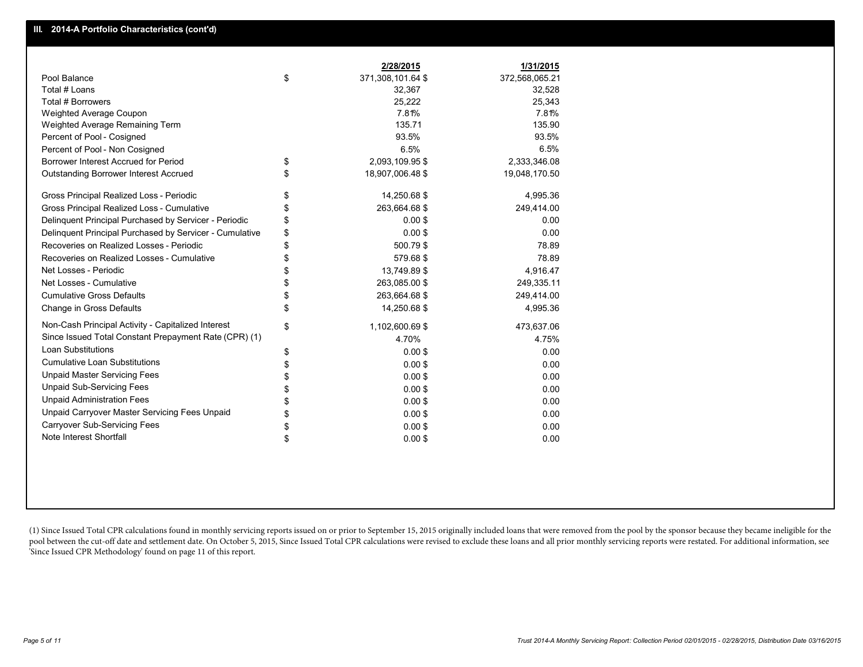|                                                         | 2/28/2015               | 1/31/2015      |
|---------------------------------------------------------|-------------------------|----------------|
| Pool Balance                                            | \$<br>371,308,101.64 \$ | 372,568,065.21 |
| Total # Loans                                           | 32,367                  | 32,528         |
| Total # Borrowers                                       | 25,222                  | 25,343         |
| <b>Weighted Average Coupon</b>                          | 7.81%                   | 7.81%          |
| Weighted Average Remaining Term                         | 135.71                  | 135.90         |
| Percent of Pool - Cosigned                              | 93.5%                   | 93.5%          |
| Percent of Pool - Non Cosigned                          | 6.5%                    | 6.5%           |
| Borrower Interest Accrued for Period                    | \$<br>2,093,109.95 \$   | 2,333,346.08   |
| <b>Outstanding Borrower Interest Accrued</b>            | \$<br>18,907,006.48 \$  | 19,048,170.50  |
| Gross Principal Realized Loss - Periodic                | \$<br>14,250.68 \$      | 4,995.36       |
| Gross Principal Realized Loss - Cumulative              | \$<br>263,664.68 \$     | 249,414.00     |
| Delinquent Principal Purchased by Servicer - Periodic   | \$<br>0.00S             | 0.00           |
| Delinquent Principal Purchased by Servicer - Cumulative | \$<br>0.00S             | 0.00           |
| Recoveries on Realized Losses - Periodic                | \$<br>500.79\$          | 78.89          |
| Recoveries on Realized Losses - Cumulative              | \$<br>579.68\$          | 78.89          |
| Net Losses - Periodic                                   | \$<br>13,749.89 \$      | 4,916.47       |
| Net Losses - Cumulative                                 | \$<br>263,085.00 \$     | 249,335.11     |
| <b>Cumulative Gross Defaults</b>                        | \$<br>263,664.68 \$     | 249,414.00     |
| Change in Gross Defaults                                | \$<br>14,250.68 \$      | 4,995.36       |
| Non-Cash Principal Activity - Capitalized Interest      | \$<br>1,102,600.69 \$   | 473,637.06     |
| Since Issued Total Constant Prepayment Rate (CPR) (1)   | 4.70%                   | 4.75%          |
| <b>Loan Substitutions</b>                               | \$<br>$0.00$ \$         | 0.00           |
| <b>Cumulative Loan Substitutions</b>                    | \$<br>$0.00$ \$         | 0.00           |
| <b>Unpaid Master Servicing Fees</b>                     | \$<br>$0.00$ \$         | 0.00           |
| <b>Unpaid Sub-Servicing Fees</b>                        | \$<br>0.00S             | 0.00           |
| <b>Unpaid Administration Fees</b>                       | \$<br>$0.00$ \$         | 0.00           |
| Unpaid Carryover Master Servicing Fees Unpaid           | \$<br>$0.00$ \$         | 0.00           |
| <b>Carryover Sub-Servicing Fees</b>                     | \$<br>$0.00$ \$         | 0.00           |
| Note Interest Shortfall                                 | \$<br>$0.00$ \$         | 0.00           |

(1) Since Issued Total CPR calculations found in monthly servicing reports issued on or prior to September 15, 2015 originally included loans that were removed from the pool by the sponsor because they became ineligible fo pool between the cut-off date and settlement date. On October 5, 2015, Since Issued Total CPR calculations were revised to exclude these loans and all prior monthly servicing reports were restated. For additional informati 'Since Issued CPR Methodology' found on page 11 of this report.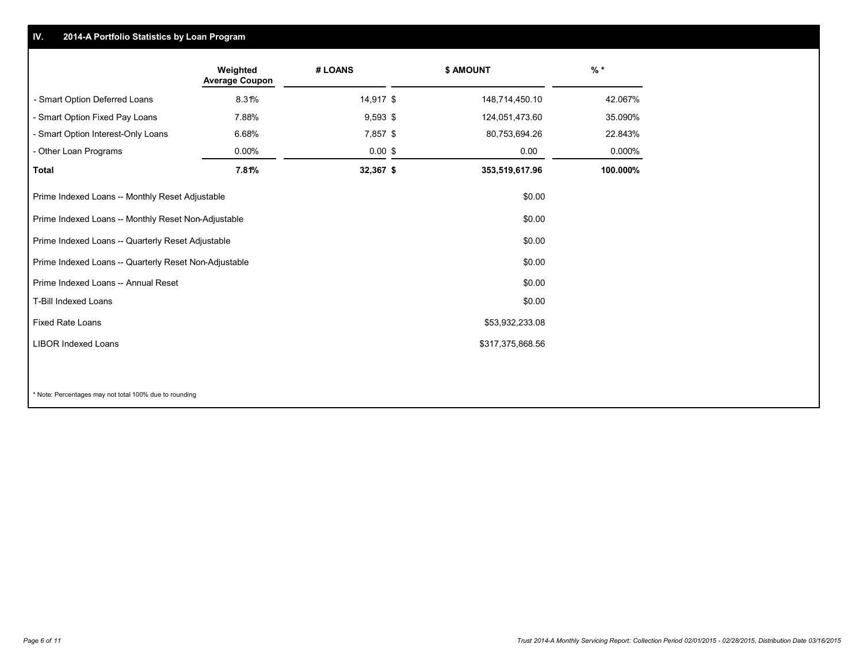#### **IV.2014-A Portfolio Statistics by Loan Program**

|                                                       | Weighted<br><b>Average Coupon</b>                             | # LOANS    |  | \$ AMOUNT        | $%$ *    |  |
|-------------------------------------------------------|---------------------------------------------------------------|------------|--|------------------|----------|--|
| - Smart Option Deferred Loans                         | 8.31%                                                         | 14,917 \$  |  | 148,714,450.10   | 42.067%  |  |
| - Smart Option Fixed Pay Loans                        | 7.88%                                                         | $9,593$ \$ |  | 124,051,473.60   | 35.090%  |  |
| - Smart Option Interest-Only Loans                    | 6.68%                                                         | $7,857$ \$ |  | 80,753,694.26    | 22.843%  |  |
| - Other Loan Programs                                 | 0.00%                                                         | $0.00$ \$  |  | 0.00             | 0.000%   |  |
| <b>Total</b>                                          | 7.81%                                                         | 32,367 \$  |  | 353,519,617.96   | 100.000% |  |
| Prime Indexed Loans -- Monthly Reset Adjustable       |                                                               |            |  | \$0.00           |          |  |
|                                                       | Prime Indexed Loans -- Monthly Reset Non-Adjustable<br>\$0.00 |            |  |                  |          |  |
| Prime Indexed Loans -- Quarterly Reset Adjustable     |                                                               |            |  | \$0.00           |          |  |
| Prime Indexed Loans -- Quarterly Reset Non-Adjustable |                                                               |            |  | \$0.00           |          |  |
| Prime Indexed Loans -- Annual Reset                   |                                                               |            |  | \$0.00           |          |  |
| T-Bill Indexed Loans<br>\$0.00                        |                                                               |            |  |                  |          |  |
| <b>Fixed Rate Loans</b><br>\$53,932,233.08            |                                                               |            |  |                  |          |  |
| <b>LIBOR Indexed Loans</b>                            |                                                               |            |  | \$317,375,868.56 |          |  |
|                                                       |                                                               |            |  |                  |          |  |

\* Note: Percentages may not total 100% due to rounding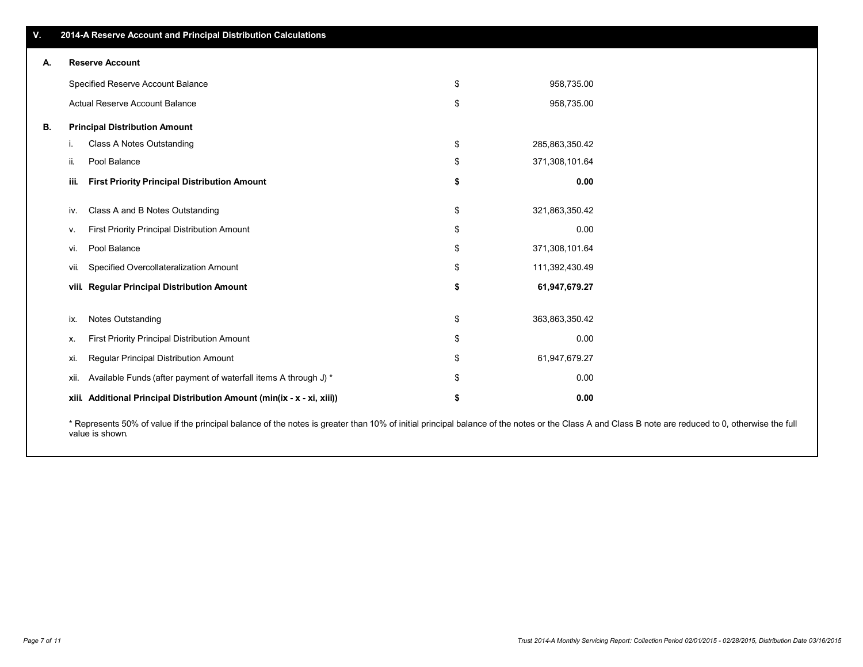|    |                        | 2014-A Reserve Account and Principal Distribution Calculations          |    |                |  |  |  |  |  |  |
|----|------------------------|-------------------------------------------------------------------------|----|----------------|--|--|--|--|--|--|
| А. | <b>Reserve Account</b> |                                                                         |    |                |  |  |  |  |  |  |
|    |                        | Specified Reserve Account Balance                                       | \$ | 958,735.00     |  |  |  |  |  |  |
|    |                        | Actual Reserve Account Balance                                          | \$ | 958,735.00     |  |  |  |  |  |  |
| В. |                        | <b>Principal Distribution Amount</b>                                    |    |                |  |  |  |  |  |  |
|    | Ť.                     | Class A Notes Outstanding                                               | \$ | 285,863,350.42 |  |  |  |  |  |  |
|    | ii.                    | Pool Balance                                                            | \$ | 371,308,101.64 |  |  |  |  |  |  |
|    | iii.                   | <b>First Priority Principal Distribution Amount</b>                     | \$ | 0.00           |  |  |  |  |  |  |
|    | IV.                    | Class A and B Notes Outstanding                                         | \$ | 321,863,350.42 |  |  |  |  |  |  |
|    | ν.                     | <b>First Priority Principal Distribution Amount</b>                     | \$ | 0.00           |  |  |  |  |  |  |
|    | VI.                    | Pool Balance                                                            | \$ | 371,308,101.64 |  |  |  |  |  |  |
|    | vii.                   | Specified Overcollateralization Amount                                  | \$ | 111,392,430.49 |  |  |  |  |  |  |
|    | viii.                  | <b>Regular Principal Distribution Amount</b>                            | \$ | 61,947,679.27  |  |  |  |  |  |  |
|    | ix.                    | <b>Notes Outstanding</b>                                                | \$ | 363,863,350.42 |  |  |  |  |  |  |
|    | х.                     | <b>First Priority Principal Distribution Amount</b>                     | \$ | 0.00           |  |  |  |  |  |  |
|    | xi.                    | <b>Regular Principal Distribution Amount</b>                            | \$ | 61,947,679.27  |  |  |  |  |  |  |
|    | XII.                   | Available Funds (after payment of waterfall items A through J) *        | \$ | 0.00           |  |  |  |  |  |  |
|    |                        | xiii. Additional Principal Distribution Amount (min(ix - x - xi, xiii)) | \$ | 0.00           |  |  |  |  |  |  |

\* Represents 50% of value if the principal balance of the notes is greater than 10% of initial principal balance of the notes or the Class A and Class B note are reduced to 0, otherwise the full value is shown.

**V.**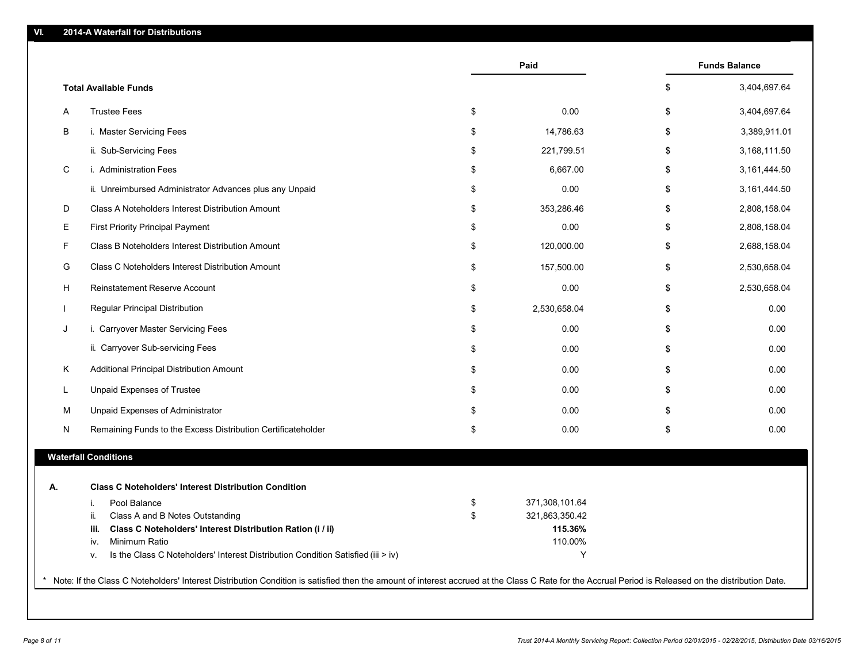|    |                                                                    | Paid                 | <b>Funds Balance</b> |
|----|--------------------------------------------------------------------|----------------------|----------------------|
|    | <b>Total Available Funds</b>                                       |                      | \$<br>3,404,697.64   |
| A  | <b>Trustee Fees</b>                                                | \$<br>0.00           | \$<br>3,404,697.64   |
| В  | i. Master Servicing Fees                                           | \$<br>14,786.63      | \$<br>3,389,911.01   |
|    | ii. Sub-Servicing Fees                                             | \$<br>221,799.51     | \$<br>3,168,111.50   |
| C  | i. Administration Fees                                             | \$<br>6,667.00       | \$<br>3,161,444.50   |
|    | ii. Unreimbursed Administrator Advances plus any Unpaid            | \$<br>0.00           | \$<br>3,161,444.50   |
| D  | Class A Noteholders Interest Distribution Amount                   | \$<br>353,286.46     | \$<br>2,808,158.04   |
| E. | First Priority Principal Payment                                   | \$<br>0.00           | \$<br>2,808,158.04   |
| F  | Class B Noteholders Interest Distribution Amount                   | \$<br>120,000.00     | \$<br>2,688,158.04   |
| G  | Class C Noteholders Interest Distribution Amount                   | \$<br>157,500.00     | \$<br>2,530,658.04   |
| н  | Reinstatement Reserve Account                                      | \$<br>0.00           | \$<br>2,530,658.04   |
|    | Regular Principal Distribution                                     | \$<br>2,530,658.04   | \$<br>0.00           |
| J  | i. Carryover Master Servicing Fees                                 | \$<br>0.00           | \$<br>0.00           |
|    | ii. Carryover Sub-servicing Fees                                   | \$<br>0.00           | \$<br>0.00           |
| K. | Additional Principal Distribution Amount                           | \$<br>0.00           | \$<br>0.00           |
|    | <b>Unpaid Expenses of Trustee</b>                                  | \$<br>0.00           | \$<br>0.00           |
| M  | Unpaid Expenses of Administrator                                   | \$<br>0.00           | \$<br>0.00           |
| Ν  | Remaining Funds to the Excess Distribution Certificateholder       | \$<br>0.00           | \$<br>0.00           |
|    | <b>Waterfall Conditions</b>                                        |                      |                      |
| А. | <b>Class C Noteholders' Interest Distribution Condition</b>        |                      |                      |
|    | Pool Balance<br>i.                                                 | \$<br>371,308,101.64 |                      |
|    | Class A and B Notes Outstanding<br>ii.                             | \$<br>321,863,350.42 |                      |
|    | Class C Noteholders' Interest Distribution Ration (i / ii)<br>iii. | 115.36%              |                      |
|    | Minimum Ratio<br>iv.                                               | 110.00%              |                      |

\*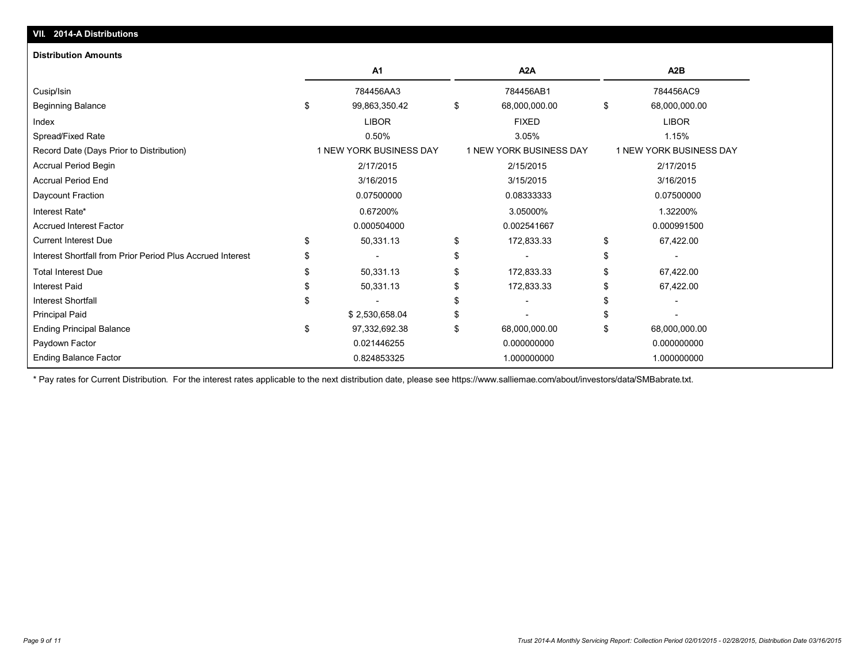| <b>Distribution Amounts</b>                                |   |                         |                         |                         |
|------------------------------------------------------------|---|-------------------------|-------------------------|-------------------------|
|                                                            |   | A <sub>1</sub>          | A <sub>2</sub> A        | A2B                     |
| Cusip/Isin                                                 |   | 784456AA3               | 784456AB1               | 784456AC9               |
| <b>Beginning Balance</b>                                   | S | 99,863,350.42           | \$<br>68,000,000.00     | \$<br>68,000,000.00     |
| Index                                                      |   | <b>LIBOR</b>            | <b>FIXED</b>            | <b>LIBOR</b>            |
| Spread/Fixed Rate                                          |   | 0.50%                   | 3.05%                   | 1.15%                   |
| Record Date (Days Prior to Distribution)                   |   | 1 NEW YORK BUSINESS DAY | 1 NEW YORK BUSINESS DAY | 1 NEW YORK BUSINESS DAY |
| Accrual Period Begin                                       |   | 2/17/2015               | 2/15/2015               | 2/17/2015               |
| <b>Accrual Period End</b>                                  |   | 3/16/2015               | 3/15/2015               | 3/16/2015               |
| Daycount Fraction                                          |   | 0.07500000              | 0.08333333              | 0.07500000              |
| Interest Rate*                                             |   | 0.67200%                | 3.05000%                | 1.32200%                |
| <b>Accrued Interest Factor</b>                             |   | 0.000504000             | 0.002541667             | 0.000991500             |
| <b>Current Interest Due</b>                                |   | 50,331.13               | 172,833.33              | \$<br>67,422.00         |
| Interest Shortfall from Prior Period Plus Accrued Interest |   |                         |                         |                         |
| <b>Total Interest Due</b>                                  |   | 50,331.13               | 172,833.33              | 67,422.00               |
| <b>Interest Paid</b>                                       |   | 50,331.13               | 172,833.33              | 67,422.00               |
| <b>Interest Shortfall</b>                                  |   |                         |                         |                         |
| <b>Principal Paid</b>                                      |   | \$2,530,658.04          |                         |                         |
| <b>Ending Principal Balance</b>                            | S | 97,332,692.38           | \$<br>68,000,000.00     | 68,000,000.00           |
| Paydown Factor                                             |   | 0.021446255             | 0.000000000             | 0.000000000             |
| <b>Ending Balance Factor</b>                               |   | 0.824853325             | 1.000000000             | 1.000000000             |

\* Pay rates for Current Distribution. For the interest rates applicable to the next distribution date, please see https://www.salliemae.com/about/investors/data/SMBabrate.txt.

**VII. 2014-A Distributions**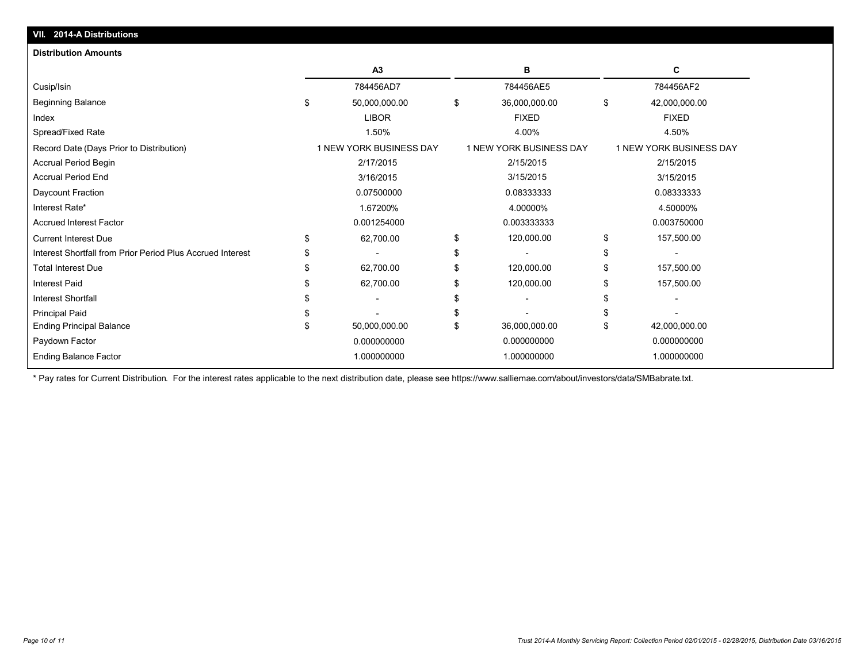| VII. 2014-A Distributions                                  |                                |                         |                         |
|------------------------------------------------------------|--------------------------------|-------------------------|-------------------------|
| <b>Distribution Amounts</b>                                |                                |                         |                         |
|                                                            | A3                             | в                       | C                       |
| Cusip/Isin                                                 | 784456AD7                      | 784456AE5               | 784456AF2               |
| <b>Beginning Balance</b>                                   | \$<br>50,000,000.00            | \$<br>36,000,000.00     | \$<br>42,000,000.00     |
| Index                                                      | <b>LIBOR</b>                   | <b>FIXED</b>            | <b>FIXED</b>            |
| Spread/Fixed Rate                                          | 1.50%                          | 4.00%                   | 4.50%                   |
| Record Date (Days Prior to Distribution)                   | <b>1 NEW YORK BUSINESS DAY</b> | 1 NEW YORK BUSINESS DAY | 1 NEW YORK BUSINESS DAY |
| Accrual Period Begin                                       | 2/17/2015                      | 2/15/2015               | 2/15/2015               |
| <b>Accrual Period End</b>                                  | 3/16/2015                      | 3/15/2015               | 3/15/2015               |
| Daycount Fraction                                          | 0.07500000                     | 0.08333333              | 0.08333333              |
| Interest Rate*                                             | 1.67200%                       | 4.00000%                | 4.50000%                |
| <b>Accrued Interest Factor</b>                             | 0.001254000                    | 0.003333333             | 0.003750000             |
| <b>Current Interest Due</b>                                | \$<br>62,700.00                | \$<br>120,000.00        | \$<br>157,500.00        |
| Interest Shortfall from Prior Period Plus Accrued Interest |                                | \$                      |                         |
| <b>Total Interest Due</b>                                  | 62,700.00                      | \$<br>120,000.00        | 157,500.00              |
| <b>Interest Paid</b>                                       | 62,700.00                      | 120,000.00              | 157,500.00              |
| <b>Interest Shortfall</b>                                  |                                |                         |                         |
| Principal Paid                                             |                                |                         |                         |
| <b>Ending Principal Balance</b>                            | 50,000,000.00                  | \$<br>36,000,000.00     | \$<br>42,000,000.00     |
| Paydown Factor                                             | 0.000000000                    | 0.000000000             | 0.000000000             |
| <b>Ending Balance Factor</b>                               | 1.000000000                    | 1.000000000             | 1.000000000             |

\* Pay rates for Current Distribution. For the interest rates applicable to the next distribution date, please see https://www.salliemae.com/about/investors/data/SMBabrate.txt.